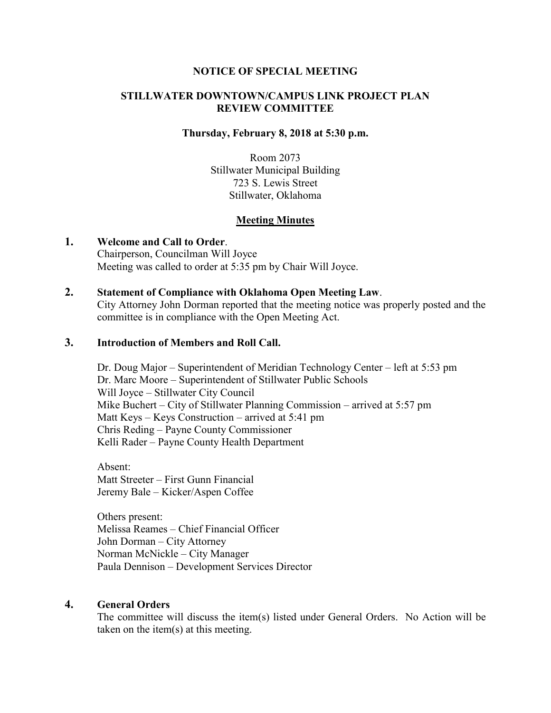### **NOTICE OF SPECIAL MEETING**

## **STILLWATER DOWNTOWN/CAMPUS LINK PROJECT PLAN REVIEW COMMITTEE**

#### **Thursday, February 8, 2018 at 5:30 p.m.**

Room 2073 Stillwater Municipal Building 723 S. Lewis Street Stillwater, Oklahoma

### **Meeting Minutes**

**1. Welcome and Call to Order**. Chairperson, Councilman Will Joyce Meeting was called to order at 5:35 pm by Chair Will Joyce.

#### **2. Statement of Compliance with Oklahoma Open Meeting Law**.

City Attorney John Dorman reported that the meeting notice was properly posted and the committee is in compliance with the Open Meeting Act.

# **3. Introduction of Members and Roll Call.**

Dr. Doug Major – Superintendent of Meridian Technology Center – left at 5:53 pm Dr. Marc Moore – Superintendent of Stillwater Public Schools Will Joyce – Stillwater City Council Mike Buchert – City of Stillwater Planning Commission – arrived at 5:57 pm Matt Keys – Keys Construction – arrived at 5:41 pm Chris Reding – Payne County Commissioner Kelli Rader – Payne County Health Department

Absent: Matt Streeter – First Gunn Financial Jeremy Bale – Kicker/Aspen Coffee

Others present: Melissa Reames – Chief Financial Officer John Dorman – City Attorney Norman McNickle – City Manager Paula Dennison – Development Services Director

#### **4. General Orders**

The committee will discuss the item(s) listed under General Orders. No Action will be taken on the item(s) at this meeting.